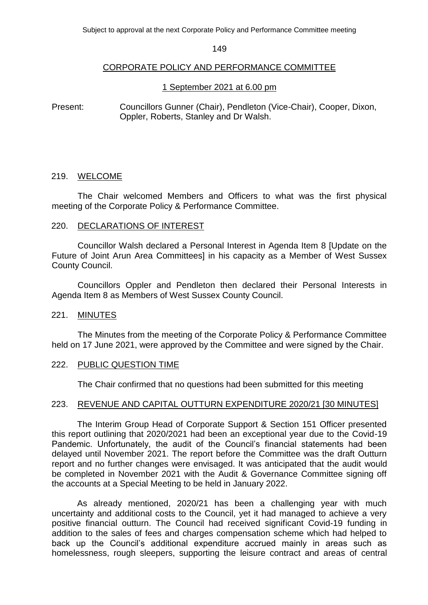## CORPORATE POLICY AND PERFORMANCE COMMITTEE

## 1 September 2021 at 6.00 pm

Present: Councillors Gunner (Chair), Pendleton (Vice-Chair), Cooper, Dixon, Oppler, Roberts, Stanley and Dr Walsh.

## 219. WELCOME

The Chair welcomed Members and Officers to what was the first physical meeting of the Corporate Policy & Performance Committee.

## 220. DECLARATIONS OF INTEREST

Councillor Walsh declared a Personal Interest in Agenda Item 8 [Update on the Future of Joint Arun Area Committees] in his capacity as a Member of West Sussex County Council.

Councillors Oppler and Pendleton then declared their Personal Interests in Agenda Item 8 as Members of West Sussex County Council.

## 221. MINUTES

The Minutes from the meeting of the Corporate Policy & Performance Committee held on 17 June 2021, were approved by the Committee and were signed by the Chair.

## 222. PUBLIC QUESTION TIME

The Chair confirmed that no questions had been submitted for this meeting

## 223. REVENUE AND CAPITAL OUTTURN EXPENDITURE 2020/21 [30 MINUTES]

The Interim Group Head of Corporate Support & Section 151 Officer presented this report outlining that 2020/2021 had been an exceptional year due to the Covid-19 Pandemic. Unfortunately, the audit of the Council's financial statements had been delayed until November 2021. The report before the Committee was the draft Outturn report and no further changes were envisaged. It was anticipated that the audit would be completed in November 2021 with the Audit & Governance Committee signing off the accounts at a Special Meeting to be held in January 2022.

As already mentioned, 2020/21 has been a challenging year with much uncertainty and additional costs to the Council, yet it had managed to achieve a very positive financial outturn. The Council had received significant Covid-19 funding in addition to the sales of fees and charges compensation scheme which had helped to back up the Council's additional expenditure accrued mainly in areas such as homelessness, rough sleepers, supporting the leisure contract and areas of central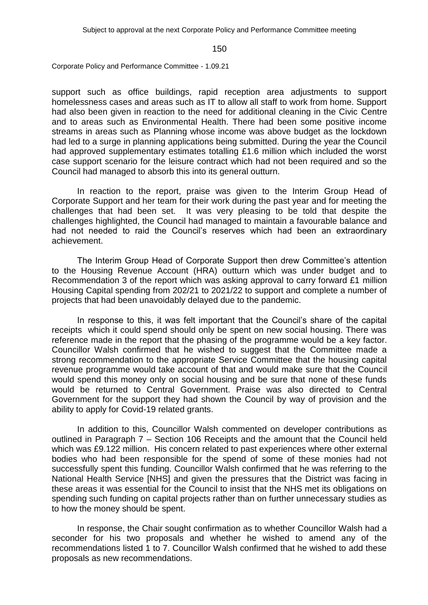Corporate Policy and Performance Committee - 1.09.21

support such as office buildings, rapid reception area adjustments to support homelessness cases and areas such as IT to allow all staff to work from home. Support had also been given in reaction to the need for additional cleaning in the Civic Centre and to areas such as Environmental Health. There had been some positive income streams in areas such as Planning whose income was above budget as the lockdown had led to a surge in planning applications being submitted. During the year the Council had approved supplementary estimates totalling £1.6 million which included the worst case support scenario for the leisure contract which had not been required and so the Council had managed to absorb this into its general outturn.

In reaction to the report, praise was given to the Interim Group Head of Corporate Support and her team for their work during the past year and for meeting the challenges that had been set. It was very pleasing to be told that despite the challenges highlighted, the Council had managed to maintain a favourable balance and had not needed to raid the Council's reserves which had been an extraordinary achievement.

The Interim Group Head of Corporate Support then drew Committee's attention to the Housing Revenue Account (HRA) outturn which was under budget and to Recommendation 3 of the report which was asking approval to carry forward £1 million Housing Capital spending from 202/21 to 2021/22 to support and complete a number of projects that had been unavoidably delayed due to the pandemic.

In response to this, it was felt important that the Council's share of the capital receipts which it could spend should only be spent on new social housing. There was reference made in the report that the phasing of the programme would be a key factor. Councillor Walsh confirmed that he wished to suggest that the Committee made a strong recommendation to the appropriate Service Committee that the housing capital revenue programme would take account of that and would make sure that the Council would spend this money only on social housing and be sure that none of these funds would be returned to Central Government. Praise was also directed to Central Government for the support they had shown the Council by way of provision and the ability to apply for Covid-19 related grants.

In addition to this, Councillor Walsh commented on developer contributions as outlined in Paragraph 7 – Section 106 Receipts and the amount that the Council held which was £9.122 million. His concern related to past experiences where other external bodies who had been responsible for the spend of some of these monies had not successfully spent this funding. Councillor Walsh confirmed that he was referring to the National Health Service [NHS] and given the pressures that the District was facing in these areas it was essential for the Council to insist that the NHS met its obligations on spending such funding on capital projects rather than on further unnecessary studies as to how the money should be spent.

In response, the Chair sought confirmation as to whether Councillor Walsh had a seconder for his two proposals and whether he wished to amend any of the recommendations listed 1 to 7. Councillor Walsh confirmed that he wished to add these proposals as new recommendations.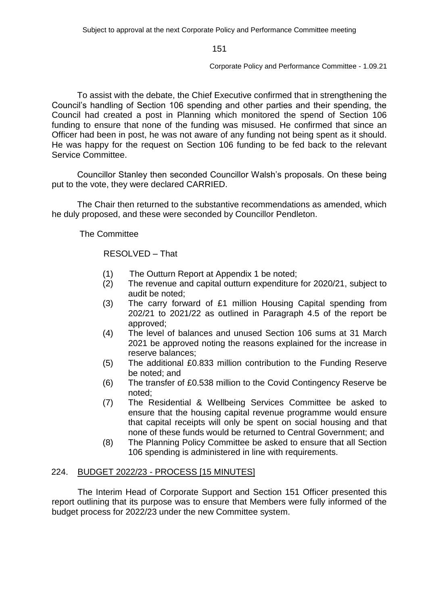Corporate Policy and Performance Committee - 1.09.21

To assist with the debate, the Chief Executive confirmed that in strengthening the Council's handling of Section 106 spending and other parties and their spending, the Council had created a post in Planning which monitored the spend of Section 106 funding to ensure that none of the funding was misused. He confirmed that since an Officer had been in post, he was not aware of any funding not being spent as it should. He was happy for the request on Section 106 funding to be fed back to the relevant Service Committee.

Councillor Stanley then seconded Councillor Walsh's proposals. On these being put to the vote, they were declared CARRIED.

The Chair then returned to the substantive recommendations as amended, which he duly proposed, and these were seconded by Councillor Pendleton.

The Committee

RESOLVED – That

- (1) The Outturn Report at Appendix 1 be noted;
- (2) The revenue and capital outturn expenditure for 2020/21, subject to audit be noted;
- (3) The carry forward of £1 million Housing Capital spending from 202/21 to 2021/22 as outlined in Paragraph 4.5 of the report be approved;
- (4) The level of balances and unused Section 106 sums at 31 March 2021 be approved noting the reasons explained for the increase in reserve balances;
- (5) The additional £0.833 million contribution to the Funding Reserve be noted; and
- (6) The transfer of £0.538 million to the Covid Contingency Reserve be noted;
- (7) The Residential & Wellbeing Services Committee be asked to ensure that the housing capital revenue programme would ensure that capital receipts will only be spent on social housing and that none of these funds would be returned to Central Government; and
- (8) The Planning Policy Committee be asked to ensure that all Section 106 spending is administered in line with requirements.

# 224. BUDGET 2022/23 - PROCESS [15 MINUTES]

The Interim Head of Corporate Support and Section 151 Officer presented this report outlining that its purpose was to ensure that Members were fully informed of the budget process for 2022/23 under the new Committee system.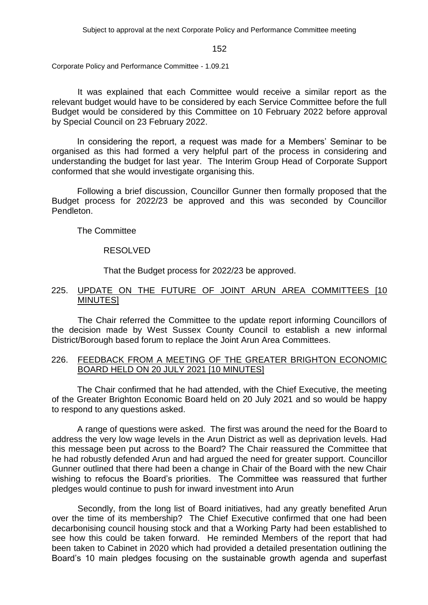Subject to approval at the next Corporate Policy and Performance Committee meeting

#### 152

Corporate Policy and Performance Committee - 1.09.21

It was explained that each Committee would receive a similar report as the relevant budget would have to be considered by each Service Committee before the full Budget would be considered by this Committee on 10 February 2022 before approval by Special Council on 23 February 2022.

In considering the report, a request was made for a Members' Seminar to be organised as this had formed a very helpful part of the process in considering and understanding the budget for last year. The Interim Group Head of Corporate Support conformed that she would investigate organising this.

Following a brief discussion, Councillor Gunner then formally proposed that the Budget process for 2022/23 be approved and this was seconded by Councillor Pendleton.

The Committee

## RESOLVED

That the Budget process for 2022/23 be approved.

# 225. UPDATE ON THE FUTURE OF JOINT ARUN AREA COMMITTEES [10 MINUTES]

The Chair referred the Committee to the update report informing Councillors of the decision made by West Sussex County Council to establish a new informal District/Borough based forum to replace the Joint Arun Area Committees.

# 226. FEEDBACK FROM A MEETING OF THE GREATER BRIGHTON ECONOMIC BOARD HELD ON 20 JULY 2021 [10 MINUTES]

The Chair confirmed that he had attended, with the Chief Executive, the meeting of the Greater Brighton Economic Board held on 20 July 2021 and so would be happy to respond to any questions asked.

A range of questions were asked. The first was around the need for the Board to address the very low wage levels in the Arun District as well as deprivation levels. Had this message been put across to the Board? The Chair reassured the Committee that he had robustly defended Arun and had argued the need for greater support. Councillor Gunner outlined that there had been a change in Chair of the Board with the new Chair wishing to refocus the Board's priorities. The Committee was reassured that further pledges would continue to push for inward investment into Arun

Secondly, from the long list of Board initiatives, had any greatly benefited Arun over the time of its membership? The Chief Executive confirmed that one had been decarbonising council housing stock and that a Working Party had been established to see how this could be taken forward. He reminded Members of the report that had been taken to Cabinet in 2020 which had provided a detailed presentation outlining the Board's 10 main pledges focusing on the sustainable growth agenda and superfast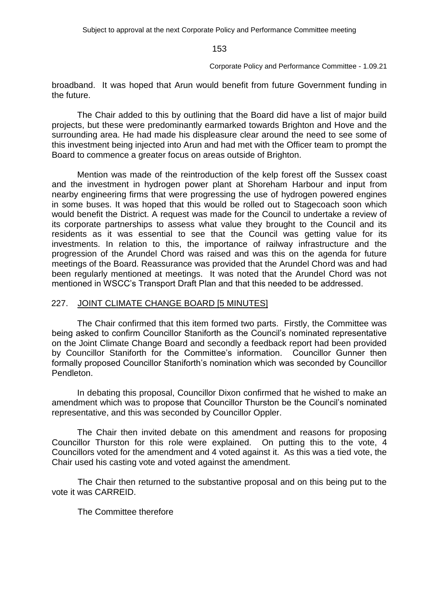Corporate Policy and Performance Committee - 1.09.21

broadband. It was hoped that Arun would benefit from future Government funding in the future.

The Chair added to this by outlining that the Board did have a list of major build projects, but these were predominantly earmarked towards Brighton and Hove and the surrounding area. He had made his displeasure clear around the need to see some of this investment being injected into Arun and had met with the Officer team to prompt the Board to commence a greater focus on areas outside of Brighton.

Mention was made of the reintroduction of the kelp forest off the Sussex coast and the investment in hydrogen power plant at Shoreham Harbour and input from nearby engineering firms that were progressing the use of hydrogen powered engines in some buses. It was hoped that this would be rolled out to Stagecoach soon which would benefit the District. A request was made for the Council to undertake a review of its corporate partnerships to assess what value they brought to the Council and its residents as it was essential to see that the Council was getting value for its investments. In relation to this, the importance of railway infrastructure and the progression of the Arundel Chord was raised and was this on the agenda for future meetings of the Board. Reassurance was provided that the Arundel Chord was and had been regularly mentioned at meetings. It was noted that the Arundel Chord was not mentioned in WSCC's Transport Draft Plan and that this needed to be addressed.

## 227. JOINT CLIMATE CHANGE BOARD [5 MINUTES]

The Chair confirmed that this item formed two parts. Firstly, the Committee was being asked to confirm Councillor Staniforth as the Council's nominated representative on the Joint Climate Change Board and secondly a feedback report had been provided by Councillor Staniforth for the Committee's information. Councillor Gunner then formally proposed Councillor Staniforth's nomination which was seconded by Councillor Pendleton.

In debating this proposal, Councillor Dixon confirmed that he wished to make an amendment which was to propose that Councillor Thurston be the Council's nominated representative, and this was seconded by Councillor Oppler.

The Chair then invited debate on this amendment and reasons for proposing Councillor Thurston for this role were explained. On putting this to the vote, 4 Councillors voted for the amendment and 4 voted against it. As this was a tied vote, the Chair used his casting vote and voted against the amendment.

The Chair then returned to the substantive proposal and on this being put to the vote it was CARREID.

The Committee therefore